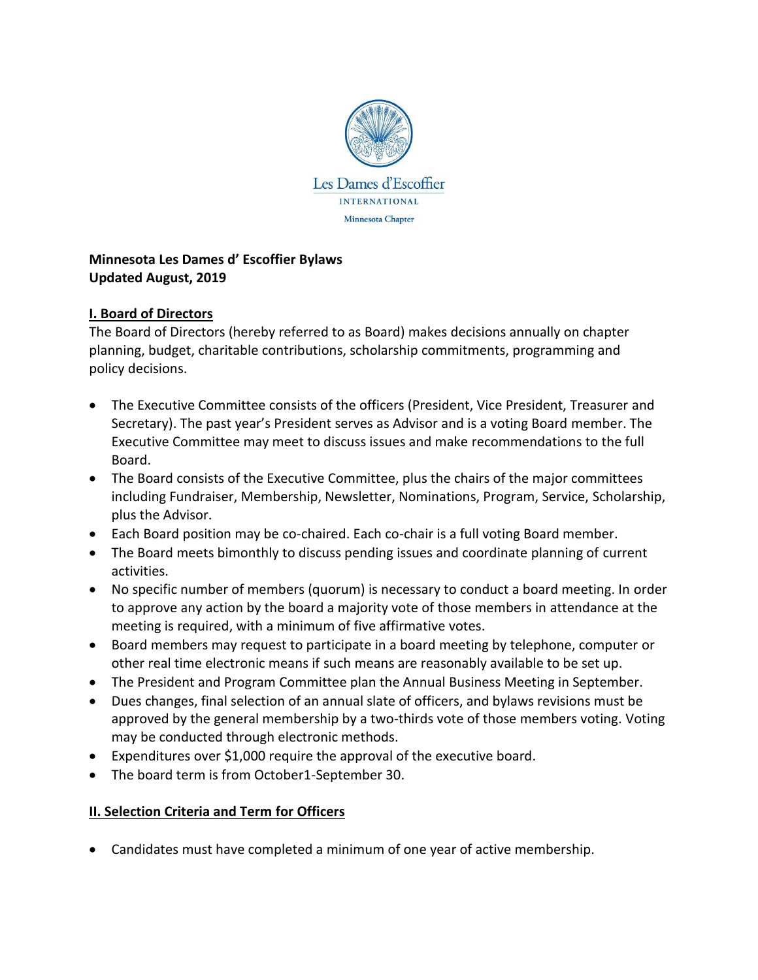

#### **Minnesota Les Dames d' Escoffier Bylaws Updated August, 2019**

## **I. Board of Directors**

The Board of Directors (hereby referred to as Board) makes decisions annually on chapter planning, budget, charitable contributions, scholarship commitments, programming and policy decisions.

- The Executive Committee consists of the officers (President, Vice President, Treasurer and Secretary). The past year's President serves as Advisor and is a voting Board member. The Executive Committee may meet to discuss issues and make recommendations to the full Board.
- The Board consists of the Executive Committee, plus the chairs of the major committees including Fundraiser, Membership, Newsletter, Nominations, Program, Service, Scholarship, plus the Advisor.
- Each Board position may be co-chaired. Each co-chair is a full voting Board member.
- The Board meets bimonthly to discuss pending issues and coordinate planning of current activities.
- No specific number of members (quorum) is necessary to conduct a board meeting. In order to approve any action by the board a majority vote of those members in attendance at the meeting is required, with a minimum of five affirmative votes.
- Board members may request to participate in a board meeting by telephone, computer or other real time electronic means if such means are reasonably available to be set up.
- The President and Program Committee plan the Annual Business Meeting in September.
- Dues changes, final selection of an annual slate of officers, and bylaws revisions must be approved by the general membership by a two-thirds vote of those members voting. Voting may be conducted through electronic methods.
- Expenditures over \$1,000 require the approval of the executive board.
- The board term is from October1-September 30.

# **II. Selection Criteria and Term for Officers**

• Candidates must have completed a minimum of one year of active membership.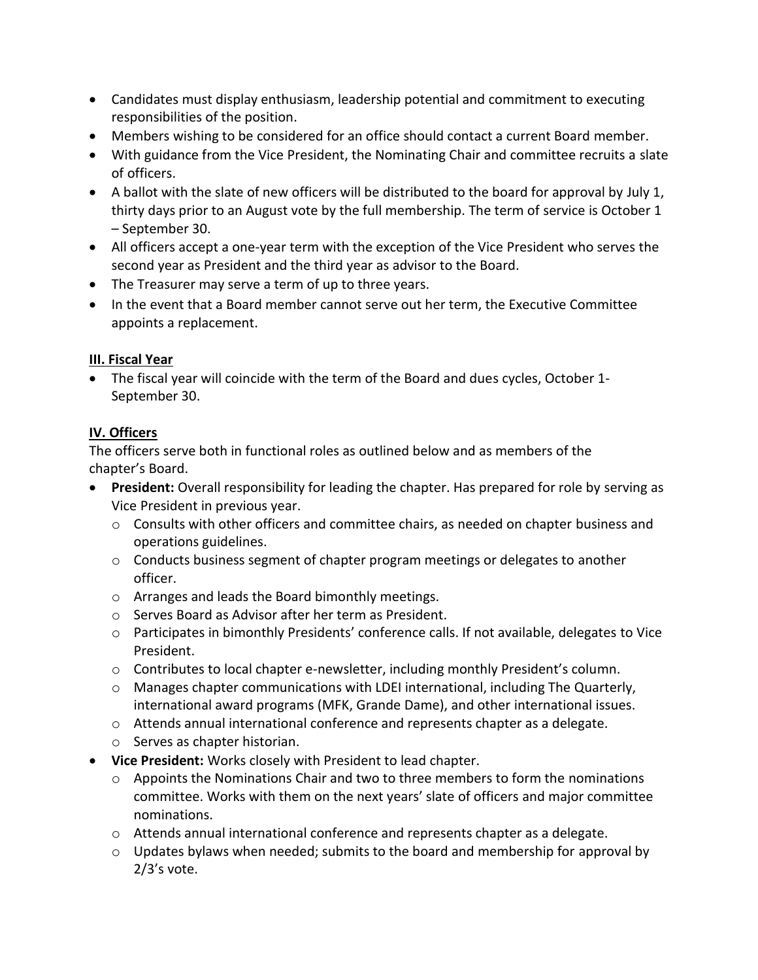- Candidates must display enthusiasm, leadership potential and commitment to executing responsibilities of the position.
- Members wishing to be considered for an office should contact a current Board member.
- With guidance from the Vice President, the Nominating Chair and committee recruits a slate of officers.
- A ballot with the slate of new officers will be distributed to the board for approval by July 1, thirty days prior to an August vote by the full membership. The term of service is October 1 – September 30.
- All officers accept a one-year term with the exception of the Vice President who serves the second year as President and the third year as advisor to the Board.
- The Treasurer may serve a term of up to three years.
- In the event that a Board member cannot serve out her term, the Executive Committee appoints a replacement.

## **III. Fiscal Year**

• The fiscal year will coincide with the term of the Board and dues cycles, October 1- September 30.

## **IV. Officers**

The officers serve both in functional roles as outlined below and as members of the chapter's Board.

- **President:** Overall responsibility for leading the chapter. Has prepared for role by serving as Vice President in previous year.
	- $\circ$  Consults with other officers and committee chairs, as needed on chapter business and operations guidelines.
	- $\circ$  Conducts business segment of chapter program meetings or delegates to another officer.
	- o Arranges and leads the Board bimonthly meetings.
	- o Serves Board as Advisor after her term as President.
	- o Participates in bimonthly Presidents' conference calls. If not available, delegates to Vice President.
	- $\circ$  Contributes to local chapter e-newsletter, including monthly President's column.
	- o Manages chapter communications with LDEI international, including The Quarterly, international award programs (MFK, Grande Dame), and other international issues.
	- $\circ$  Attends annual international conference and represents chapter as a delegate.
	- o Serves as chapter historian.
- **Vice President:** Works closely with President to lead chapter.
	- $\circ$  Appoints the Nominations Chair and two to three members to form the nominations committee. Works with them on the next years' slate of officers and major committee nominations.
	- $\circ$  Attends annual international conference and represents chapter as a delegate.
	- $\circ$  Updates bylaws when needed; submits to the board and membership for approval by 2/3's vote.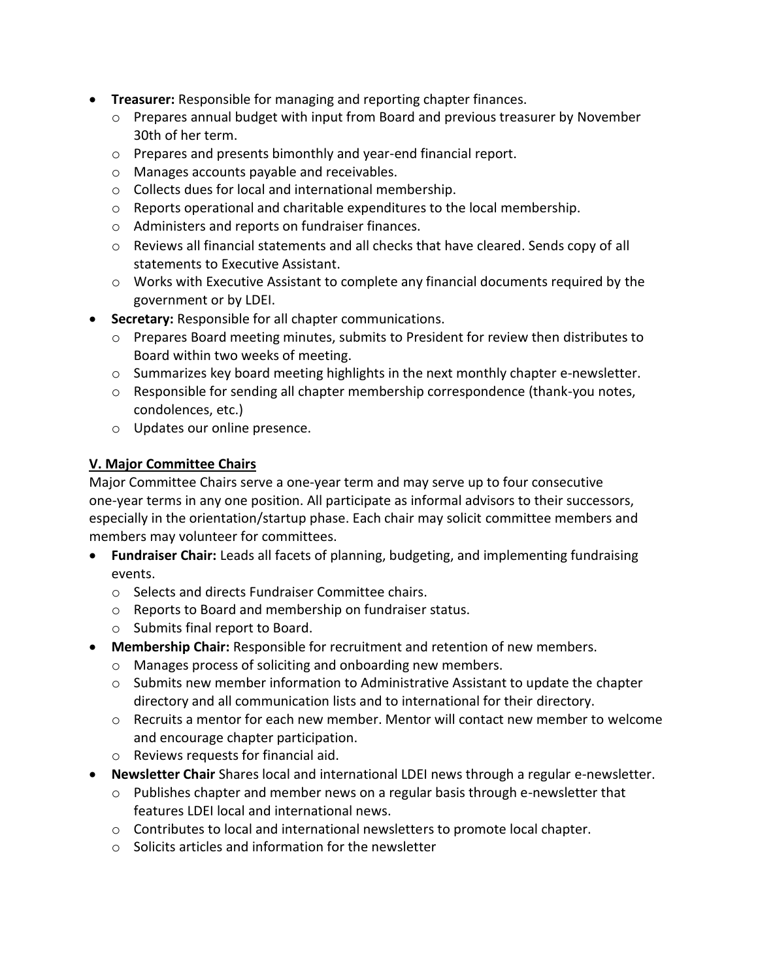- **Treasurer:** Responsible for managing and reporting chapter finances.
	- $\circ$  Prepares annual budget with input from Board and previous treasurer by November 30th of her term.
	- o Prepares and presents bimonthly and year-end financial report.
	- o Manages accounts payable and receivables.
	- o Collects dues for local and international membership.
	- $\circ$  Reports operational and charitable expenditures to the local membership.
	- o Administers and reports on fundraiser finances.
	- $\circ$  Reviews all financial statements and all checks that have cleared. Sends copy of all statements to Executive Assistant.
	- o Works with Executive Assistant to complete any financial documents required by the government or by LDEI.
- **Secretary:** Responsible for all chapter communications.
	- o Prepares Board meeting minutes, submits to President for review then distributes to Board within two weeks of meeting.
	- $\circ$  Summarizes key board meeting highlights in the next monthly chapter e-newsletter.
	- $\circ$  Responsible for sending all chapter membership correspondence (thank-you notes, condolences, etc.)
	- o Updates our online presence.

## **V. Major Committee Chairs**

Major Committee Chairs serve a one-year term and may serve up to four consecutive one-year terms in any one position. All participate as informal advisors to their successors, especially in the orientation/startup phase. Each chair may solicit committee members and members may volunteer for committees.

- **Fundraiser Chair:** Leads all facets of planning, budgeting, and implementing fundraising events.
	- o Selects and directs Fundraiser Committee chairs.
	- o Reports to Board and membership on fundraiser status.
	- o Submits final report to Board.
- **Membership Chair:** Responsible for recruitment and retention of new members.
	- o Manages process of soliciting and onboarding new members.
	- $\circ$  Submits new member information to Administrative Assistant to update the chapter directory and all communication lists and to international for their directory.
	- $\circ$  Recruits a mentor for each new member. Mentor will contact new member to welcome and encourage chapter participation.
	- o Reviews requests for financial aid.
- **Newsletter Chair** Shares local and international LDEI news through a regular e-newsletter.
	- $\circ$  Publishes chapter and member news on a regular basis through e-newsletter that features LDEI local and international news.
	- $\circ$  Contributes to local and international newsletters to promote local chapter.
	- o Solicits articles and information for the newsletter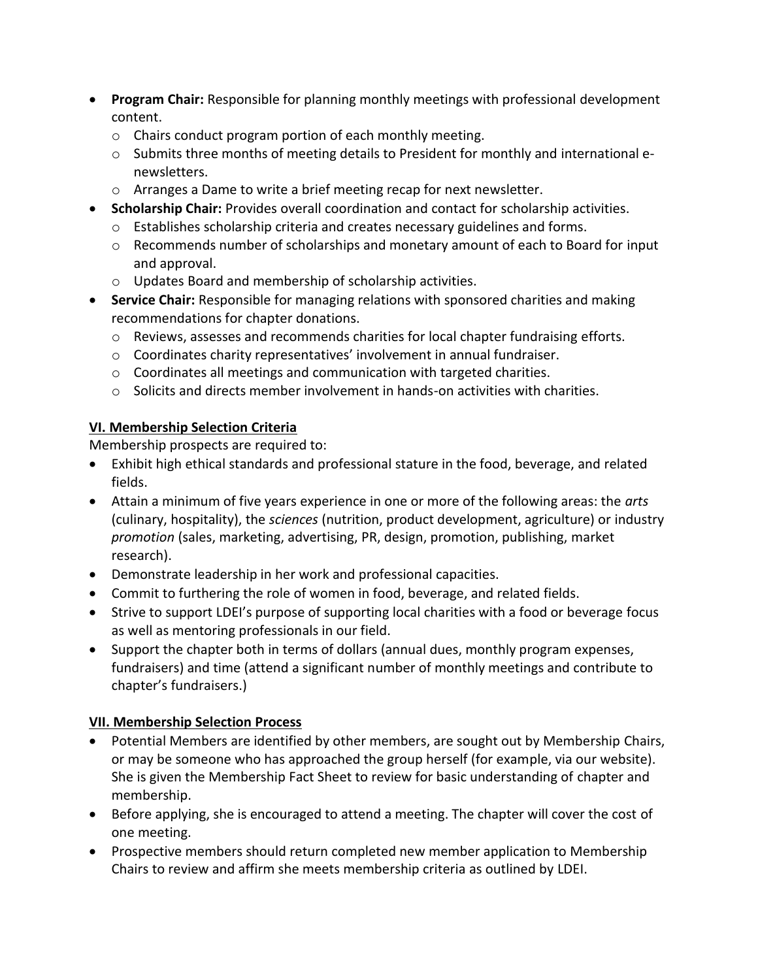- **Program Chair:** Responsible for planning monthly meetings with professional development content.
	- o Chairs conduct program portion of each monthly meeting.
	- $\circ$  Submits three months of meeting details to President for monthly and international enewsletters.
	- o Arranges a Dame to write a brief meeting recap for next newsletter.
- **Scholarship Chair:** Provides overall coordination and contact for scholarship activities.
	- $\circ$  Establishes scholarship criteria and creates necessary guidelines and forms.
	- $\circ$  Recommends number of scholarships and monetary amount of each to Board for input and approval.
	- o Updates Board and membership of scholarship activities.
- **Service Chair:** Responsible for managing relations with sponsored charities and making recommendations for chapter donations.
	- $\circ$  Reviews, assesses and recommends charities for local chapter fundraising efforts.
	- o Coordinates charity representatives' involvement in annual fundraiser.
	- o Coordinates all meetings and communication with targeted charities.
	- $\circ$  Solicits and directs member involvement in hands-on activities with charities.

## **VI. Membership Selection Criteria**

Membership prospects are required to:

- Exhibit high ethical standards and professional stature in the food, beverage, and related fields.
- Attain a minimum of five years experience in one or more of the following areas: the *arts*  (culinary, hospitality), the *sciences* (nutrition, product development, agriculture) or industry *promotion* (sales, marketing, advertising, PR, design, promotion, publishing, market research).
- Demonstrate leadership in her work and professional capacities.
- Commit to furthering the role of women in food, beverage, and related fields.
- Strive to support LDEI's purpose of supporting local charities with a food or beverage focus as well as mentoring professionals in our field.
- Support the chapter both in terms of dollars (annual dues, monthly program expenses, fundraisers) and time (attend a significant number of monthly meetings and contribute to chapter's fundraisers.)

# **VII. Membership Selection Process**

- Potential Members are identified by other members, are sought out by Membership Chairs, or may be someone who has approached the group herself (for example, via our website). She is given the Membership Fact Sheet to review for basic understanding of chapter and membership.
- Before applying, she is encouraged to attend a meeting. The chapter will cover the cost of one meeting.
- Prospective members should return completed new member application to Membership Chairs to review and affirm she meets membership criteria as outlined by LDEI.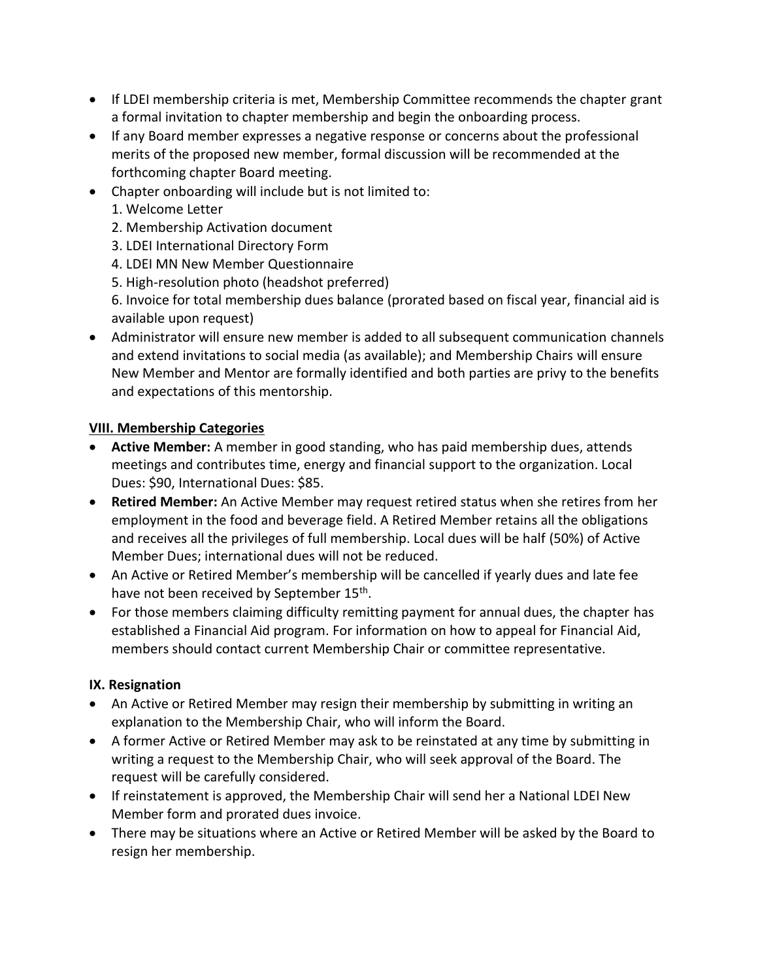- If LDEI membership criteria is met, Membership Committee recommends the chapter grant a formal invitation to chapter membership and begin the onboarding process.
- If any Board member expresses a negative response or concerns about the professional merits of the proposed new member, formal discussion will be recommended at the forthcoming chapter Board meeting.
- Chapter onboarding will include but is not limited to:
	- 1. Welcome Letter
	- 2. Membership Activation document
	- 3. LDEI International Directory Form
	- 4. LDEI MN New Member Questionnaire
	- 5. High-resolution photo (headshot preferred)

6. Invoice for total membership dues balance (prorated based on fiscal year, financial aid is available upon request)

• Administrator will ensure new member is added to all subsequent communication channels and extend invitations to social media (as available); and Membership Chairs will ensure New Member and Mentor are formally identified and both parties are privy to the benefits and expectations of this mentorship.

#### **VIII. Membership Categories**

- **Active Member:** A member in good standing, who has paid membership dues, attends meetings and contributes time, energy and financial support to the organization. Local Dues: \$90, International Dues: \$85.
- **Retired Member:** An Active Member may request retired status when she retires from her employment in the food and beverage field. A Retired Member retains all the obligations and receives all the privileges of full membership. Local dues will be half (50%) of Active Member Dues; international dues will not be reduced.
- An Active or Retired Member's membership will be cancelled if yearly dues and late fee have not been received by September 15<sup>th</sup>.
- For those members claiming difficulty remitting payment for annual dues, the chapter has established a Financial Aid program. For information on how to appeal for Financial Aid, members should contact current Membership Chair or committee representative.

#### **IX. Resignation**

- An Active or Retired Member may resign their membership by submitting in writing an explanation to the Membership Chair, who will inform the Board.
- A former Active or Retired Member may ask to be reinstated at any time by submitting in writing a request to the Membership Chair, who will seek approval of the Board. The request will be carefully considered.
- If reinstatement is approved, the Membership Chair will send her a National LDEI New Member form and prorated dues invoice.
- There may be situations where an Active or Retired Member will be asked by the Board to resign her membership.